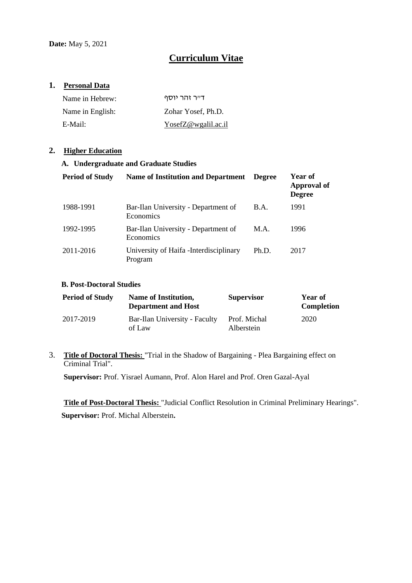# **Curriculum Vitae**

## **1. Personal Data**

| Name in Hebrew:  | דייר זהר יוסף       |
|------------------|---------------------|
| Name in English: | Zohar Yosef, Ph.D.  |
| E-Mail:          | YosefZ@wgalil.ac.il |

### **2. Higher Education**

#### **A. Undergraduate and Graduate Studies**

| <b>Period of Study</b> | Name of Institution and Department                 | <b>Degree</b> | Year of<br>Approval of<br><b>Degree</b> |
|------------------------|----------------------------------------------------|---------------|-----------------------------------------|
| 1988-1991              | Bar-Ilan University - Department of<br>Economics   | B.A.          | 1991                                    |
| 1992-1995              | Bar-Ilan University - Department of<br>Economics   | M.A.          | 1996                                    |
| 2011-2016              | University of Haifa - Interdisciplinary<br>Program | Ph.D.         | 2017                                    |

#### **B. Post-Doctoral Studies**

| <b>Period of Study</b> | <b>Name of Institution,</b><br><b>Department and Host</b> | <b>Supervisor</b>          | Year of<br><b>Completion</b> |
|------------------------|-----------------------------------------------------------|----------------------------|------------------------------|
| 2017-2019              | Bar-Ilan University - Faculty<br>of Law                   | Prof. Michal<br>Alberstein | 2020                         |

## 3. **Title of Doctoral Thesis:** "Trial in the Shadow of Bargaining - Plea Bargaining effect on Criminal Trial".

**Supervisor:** Prof. Yisrael Aumann, Prof. Alon Harel and Prof. Oren Gazal-Ayal

**Title of Post-Doctoral Thesis:** "Judicial Conflict Resolution in Criminal Preliminary Hearings". **Supervisor:** Prof. Michal Alberstein**.**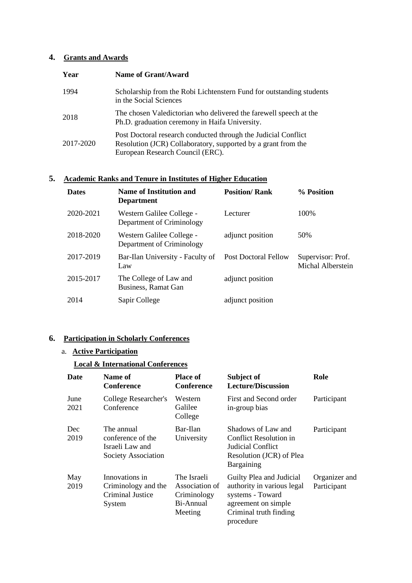## **4. Grants and Awards**

| Year      | <b>Name of Grant/Award</b>                                                                                                                                          |
|-----------|---------------------------------------------------------------------------------------------------------------------------------------------------------------------|
| 1994      | Scholarship from the Robi Lichtenstern Fund for outstanding students<br>in the Social Sciences                                                                      |
| 2018      | The chosen Valedictorian who delivered the farewell speech at the<br>Ph.D. graduation ceremony in Haifa University.                                                 |
| 2017-2020 | Post Doctoral research conducted through the Judicial Conflict<br>Resolution (JCR) Collaboratory, supported by a grant from the<br>European Research Council (ERC). |

## **5. Academic Ranks and Tenure in Institutes of Higher Education**

| <b>Dates</b> | <b>Name of Institution and</b><br><b>Department</b>    | <b>Position/Rank</b>        | % Position                             |
|--------------|--------------------------------------------------------|-----------------------------|----------------------------------------|
| 2020-2021    | Western Galilee College -<br>Department of Criminology | Lecturer                    | 100\%                                  |
| 2018-2020    | Western Galilee College -<br>Department of Criminology | adjunct position            | 50%                                    |
| 2017-2019    | Bar-Ilan University - Faculty of<br>Law                | <b>Post Doctoral Fellow</b> | Supervisor: Prof.<br>Michal Alberstein |
| 2015-2017    | The College of Law and<br>Business, Ramat Gan          | adjunct position            |                                        |
| 2014         | Sapir College                                          | adjunct position            |                                        |

## **6. Participation in Scholarly Conferences**

## a. **Active Participation**

## **Local & International Conferences**

| Date         | Name of<br><b>Conference</b>                                              | <b>Place of</b><br>Conference                                        | Subject of<br><b>Lecture/Discussion</b>                                                                                                  | Role                         |
|--------------|---------------------------------------------------------------------------|----------------------------------------------------------------------|------------------------------------------------------------------------------------------------------------------------------------------|------------------------------|
| June<br>2021 | College Researcher's<br>Conference                                        | Western<br>Galilee<br>College                                        | First and Second order<br>in-group bias                                                                                                  | Participant                  |
| Dec<br>2019  | The annual<br>conference of the<br>Israeli Law and<br>Society Association | Bar-Ilan<br>University                                               | Shadows of Law and<br><b>Conflict Resolution in</b><br>Judicial Conflict<br>Resolution (JCR) of Plea<br><b>Bargaining</b>                | Participant                  |
| May<br>2019  | Innovations in<br>Criminology and the<br>Criminal Justice<br>System       | The Israeli<br>Association of<br>Criminology<br>Bi-Annual<br>Meeting | Guilty Plea and Judicial<br>authority in various legal<br>systems - Toward<br>agreement on simple<br>Criminal truth finding<br>procedure | Organizer and<br>Participant |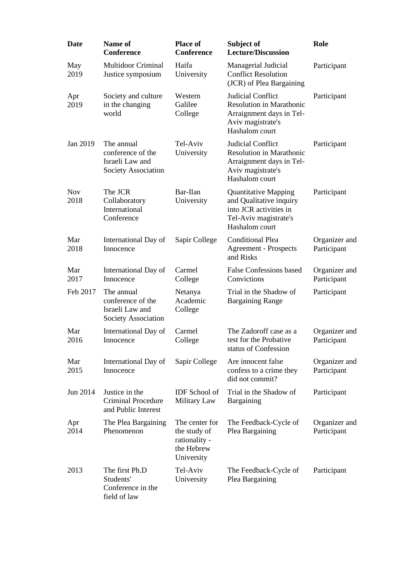| Date               | <b>Name of</b><br><b>Conference</b>                                       | <b>Place of</b><br><b>Conference</b>                                        | Subject of<br><b>Lecture/Discussion</b>                                                                                     | Role                         |
|--------------------|---------------------------------------------------------------------------|-----------------------------------------------------------------------------|-----------------------------------------------------------------------------------------------------------------------------|------------------------------|
| May<br>2019        | <b>Multidoor Criminal</b><br>Justice symposium                            | Haifa<br>University                                                         | Managerial Judicial<br><b>Conflict Resolution</b><br>(JCR) of Plea Bargaining                                               | Participant                  |
| Apr<br>2019        | Society and culture<br>in the changing<br>world                           | Western<br>Galilee<br>College                                               | Judicial Conflict<br><b>Resolution in Marathonic</b><br>Arraignment days in Tel-<br>Aviv magistrate's<br>Hashalom court     | Participant                  |
| Jan 2019           | The annual<br>conference of the<br>Israeli Law and<br>Society Association | Tel-Aviv<br>University                                                      | Judicial Conflict<br><b>Resolution in Marathonic</b><br>Arraignment days in Tel-<br>Aviv magistrate's<br>Hashalom court     | Participant                  |
| <b>Nov</b><br>2018 | The JCR<br>Collaboratory<br>International<br>Conference                   | Bar-Ilan<br>University                                                      | <b>Quantitative Mapping</b><br>and Qualitative inquiry<br>into JCR activities in<br>Tel-Aviv magistrate's<br>Hashalom court | Participant                  |
| Mar<br>2018        | International Day of<br>Innocence                                         | Sapir College                                                               | Conditional Plea<br><b>Agreement - Prospects</b><br>and Risks                                                               | Organizer and<br>Participant |
| Mar<br>2017        | International Day of<br>Innocence                                         | Carmel<br>College                                                           | <b>False Confessions based</b><br>Convictions                                                                               | Organizer and<br>Participant |
| Feb 2017           | The annual<br>conference of the<br>Israeli Law and<br>Society Association | Netanya<br>Academic<br>College                                              | Trial in the Shadow of<br><b>Bargaining Range</b>                                                                           | Participant                  |
| Mar<br>2016        | International Day of<br>Innocence                                         | Carmel<br>College                                                           | The Zadoroff case as a<br>test for the Probative<br>status of Confession                                                    | Organizer and<br>Participant |
| Mar<br>2015        | International Day of<br>Innocence                                         | Sapir College                                                               | Are innocent false<br>confess to a crime they<br>did not commit?                                                            | Organizer and<br>Participant |
| Jun 2014           | Justice in the<br><b>Criminal Procedure</b><br>and Public Interest        | <b>IDF</b> School of<br>Military Law                                        | Trial in the Shadow of<br>Bargaining                                                                                        | Participant                  |
| Apr<br>2014        | The Plea Bargaining<br>Phenomenon                                         | The center for<br>the study of<br>rationality -<br>the Hebrew<br>University | The Feedback-Cycle of<br>Plea Bargaining                                                                                    | Organizer and<br>Participant |
| 2013               | The first Ph.D<br>Students'<br>Conference in the<br>field of law          | Tel-Aviv<br>University                                                      | The Feedback-Cycle of<br>Plea Bargaining                                                                                    | Participant                  |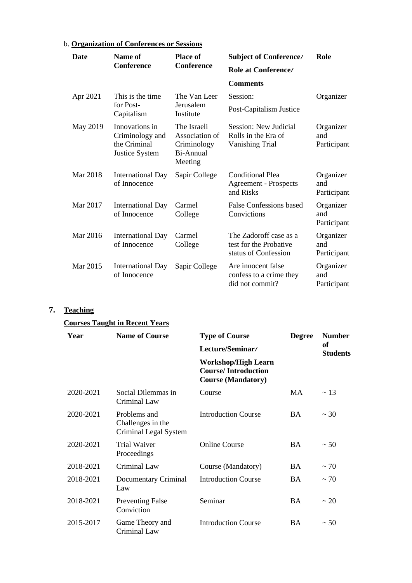| b. Organization of Conferences or Sessions |                                                                     |                                                                      |                                                                          |                                 |
|--------------------------------------------|---------------------------------------------------------------------|----------------------------------------------------------------------|--------------------------------------------------------------------------|---------------------------------|
| <b>Date</b>                                | Name of<br><b>Conference</b>                                        | <b>Place of</b><br><b>Conference</b>                                 | <b>Subject of Conference/</b>                                            | Role                            |
|                                            |                                                                     |                                                                      | Role at Conference/                                                      |                                 |
|                                            |                                                                     |                                                                      | <b>Comments</b>                                                          |                                 |
| Apr 2021                                   | This is the time.                                                   | The Van Leer                                                         | Session:                                                                 | Organizer                       |
|                                            | for Post-<br>Capitalism                                             | Jerusalem<br>Institute                                               | Post-Capitalism Justice                                                  |                                 |
| May 2019                                   | Innovations in<br>Criminology and<br>the Criminal<br>Justice System | The Israeli<br>Association of<br>Criminology<br>Bi-Annual<br>Meeting | Session: New Judicial<br>Rolls in the Era of<br>Vanishing Trial          | Organizer<br>and<br>Participant |
| Mar 2018                                   | <b>International Day</b><br>of Innocence                            | Sapir College                                                        | <b>Conditional Plea</b><br><b>Agreement - Prospects</b><br>and Risks     | Organizer<br>and<br>Participant |
| Mar 2017                                   | <b>International Day</b><br>of Innocence                            | Carmel<br>College                                                    | <b>False Confessions based</b><br>Convictions                            | Organizer<br>and<br>Participant |
| Mar 2016                                   | <b>International Day</b><br>of Innocence                            | Carmel<br>College                                                    | The Zadoroff case as a<br>test for the Probative<br>status of Confession | Organizer<br>and<br>Participant |
| Mar 2015                                   | International Day<br>of Innocence                                   | Sapir College                                                        | Are innocent false<br>confess to a crime they<br>did not commit?         | Organizer<br>and<br>Participant |

## **7. Teaching**

## **Courses Taught in Recent Years**

| Year      | <b>Name of Course</b>                                      | <b>Type of Course</b>                                                                 | <b>Degree</b> | <b>Number</b><br><b>of</b><br><b>Students</b> |
|-----------|------------------------------------------------------------|---------------------------------------------------------------------------------------|---------------|-----------------------------------------------|
|           |                                                            | Lecture/Seminar/                                                                      |               |                                               |
|           |                                                            | <b>Workshop/High Learn</b><br><b>Course/Introduction</b><br><b>Course (Mandatory)</b> |               |                                               |
| 2020-2021 | Social Dilemmas in<br>Criminal Law                         | Course                                                                                | MA            | $\sim$ 13                                     |
| 2020-2021 | Problems and<br>Challenges in the<br>Criminal Legal System | <b>Introduction Course</b>                                                            | <b>BA</b>     | $\sim$ 30                                     |
| 2020-2021 | <b>Trial Waiver</b><br>Proceedings                         | <b>Online Course</b>                                                                  | <b>BA</b>     | ~50                                           |
| 2018-2021 | Criminal Law                                               | Course (Mandatory)                                                                    | <b>BA</b>     | $~1$ 70                                       |
| 2018-2021 | Documentary Criminal<br>Law                                | <b>Introduction Course</b>                                                            | <b>BA</b>     | $~1$ 70                                       |
| 2018-2021 | <b>Preventing False</b><br>Conviction                      | Seminar                                                                               | <b>BA</b>     | ~20                                           |
| 2015-2017 | Game Theory and<br>Criminal Law                            | <b>Introduction Course</b>                                                            | <b>BA</b>     | ~50                                           |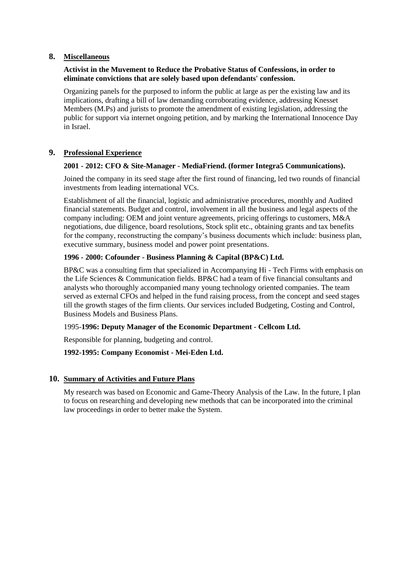## **8. Miscellaneous**

#### **Activist in the Muvement to Reduce the Probative Status of Confessions, in order to eliminate convictions that are solely based upon defendants' confession.**

Organizing panels for the purposed to inform the public at large as per the existing law and its implications, drafting a bill of law demanding corroborating evidence, addressing Knesset Members (M.Ps) and jurists to promote the amendment of existing legislation, addressing the public for support via internet ongoing petition, and by marking the International Innocence Day in Israel.

## **9. Professional Experience**

#### **2001 - 2012: CFO & Site-Manager - MediaFriend. (former Integra5 Communications).**

Joined the company in its seed stage after the first round of financing, led two rounds of financial investments from leading international VCs.

Establishment of all the financial, logistic and administrative procedures, monthly and Audited financial statements. Budget and control, involvement in all the business and legal aspects of the company including: OEM and joint venture agreements, pricing offerings to customers, M&A negotiations, due diligence, board resolutions, Stock split etc., obtaining grants and tax benefits for the company, reconstructing the company's business documents which include: business plan, executive summary, business model and power point presentations.

#### **1996 - 2000: Cofounder - Business Planning & Capital (BP&C) Ltd.**

BP&C was a consulting firm that specialized in Accompanying Hi - Tech Firms with emphasis on the Life Sciences & Communication fields. BP&C had a team of five financial consultants and analysts who thoroughly accompanied many young technology oriented companies. The team served as external CFOs and helped in the fund raising process, from the concept and seed stages till the growth stages of the firm clients. Our services included Budgeting, Costing and Control, Business Models and Business Plans.

#### 1995-**1996: Deputy Manager of the Economic Department - Cellcom Ltd.**

Responsible for planning, budgeting and control.

## **1992-1995: Company Economist - Mei-Eden Ltd.**

## **10. Summary of Activities and Future Plans**

My research was based on Economic and Game-Theory Analysis of the Law. In the future, I plan to focus on researching and developing new methods that can be incorporated into the criminal law proceedings in order to better make the System.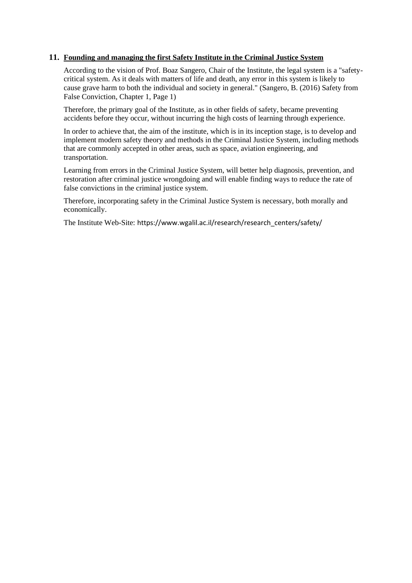#### **11. Founding and managing the first Safety Institute in the Criminal Justice System**

According to the vision of Prof. Boaz Sangero, Chair of the Institute, the legal system is a "safetycritical system. As it deals with matters of life and death, any error in this system is likely to cause grave harm to both the individual and society in general." (Sangero, B. (2016) Safety from False Conviction, Chapter 1, Page 1)

Therefore, the primary goal of the Institute, as in other fields of safety, became preventing accidents before they occur, without incurring the high costs of learning through experience.

In order to achieve that, the aim of the institute, which is in its inception stage, is to develop and implement modern safety theory and methods in the Criminal Justice System, including methods that are commonly accepted in other areas, such as space, aviation engineering, and transportation.

Learning from errors in the Criminal Justice System, will better help diagnosis, prevention, and restoration after criminal justice wrongdoing and will enable finding ways to reduce the rate of false convictions in the criminal justice system.

Therefore, incorporating safety in the Criminal Justice System is necessary, both morally and economically.

The Institute Web-Site: [https://www.wgalil.ac.il/research/research\\_centers/safety/](https://www.wgalil.ac.il/research/research_centers/safety/)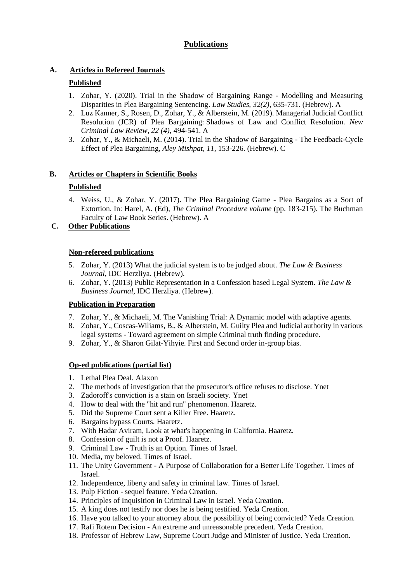## **Publications**

## **A. Articles in Refereed Journals**

## **Published**

- 1. Zohar, Y. (2020). Trial in the Shadow of Bargaining Range Modelling and Measuring Disparities in Plea Bargaining Sentencing. *Law Studies, 32(2),* 635-731. (Hebrew). A
- 2. Luz Kanner, S., Rosen, D., Zohar, Y., & Alberstein, M. (2019). Managerial Judicial Conflict Resolution (JCR) of Plea Bargaining: Shadows of Law and Conflict Resolution. *New Criminal Law Review, 22 (4)*, 494-541. A
- 3. Zohar, Y., & Michaeli, M. (2014). Trial in the Shadow of Bargaining The Feedback-Cycle Effect of Plea Bargaining, *Aley Mishpat, 11,* 153-226. (Hebrew). C

## **B. Articles or Chapters in Scientific Books**

## **Published**

4. Weiss, U., & Zohar, Y. (2017). The Plea Bargaining Game - Plea Bargains as a Sort of Extortion. In: Harel, A. (Ed), *The Criminal Procedure volume* (pp. 183-215). The Buchman Faculty of Law Book Series. (Hebrew). A

## **C. Other Publications**

## **Non-refereed publications**

- 5. Zohar, Y. (2013) What the judicial system is to be judged about. *The Law & Business Journal,* IDC Herzliya. (Hebrew).
- 6. Zohar, Y. (2013) Public Representation in a Confession based Legal System. *The Law & Business Journal*, IDC Herzliya. (Hebrew).

## **Publication in Preparation**

- 7. Zohar, Y., & Michaeli, M. The Vanishing Trial: A Dynamic model with adaptive agents.
- 8. Zohar, Y., Coscas-Wiliams, B., & Alberstein, M. Guilty Plea and Judicial authority in various legal systems - Toward agreement on simple Criminal truth finding procedure.
- 9. Zohar, Y., & Sharon Gilat-Yihyie. First and Second order in-group bias.

## **Op-ed publications (partial list)**

- 1. Lethal Plea Deal. Alaxon
- 2. The methods of investigation that the prosecutor's office refuses to disclose. Ynet
- 3. Zadoroff's conviction is a stain on Israeli society. Ynet
- 4. How to deal with the "hit and run" phenomenon. Haaretz.
- 5. Did the Supreme Court sent a Killer Free. Haaretz.
- 6. Bargains bypass Courts. Haaretz.
- 7. With Hadar Aviram, Look at what's happening in California. Haaretz.
- 8. Confession of guilt is not a Proof. Haaretz.
- 9. Criminal Law Truth is an Option. Times of Israel.
- 10. Media, my beloved. Times of Israel.
- 11. The Unity Government A Purpose of Collaboration for a Better Life Together. Times of Israel.
- 12. Independence, liberty and safety in criminal law. Times of Israel.
- 13. Pulp Fiction sequel feature. Yeda Creation.
- 14. Principles of Inquisition in Criminal Law in Israel. Yeda Creation.
- 15. A king does not testify nor does he is being testified. Yeda Creation.
- 16. Have you talked to your attorney about the possibility of being convicted? Yeda Creation.
- 17. Rafi Rotem Decision An extreme and unreasonable precedent. Yeda Creation.
- 18. Professor of Hebrew Law, Supreme Court Judge and Minister of Justice. Yeda Creation.